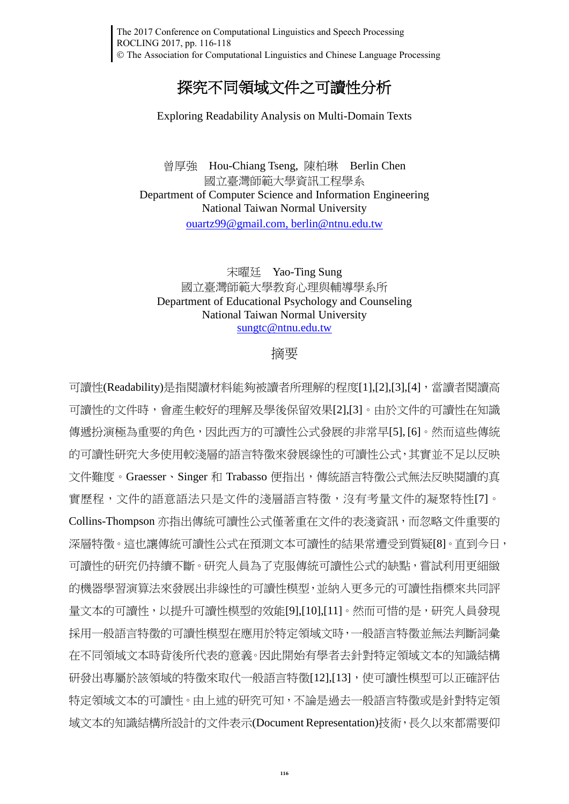## 探究不同領域文件之可讀性分析

Exploring Readability Analysis on Multi-Domain Texts

曾厚強 Hou-Chiang Tseng, 陳柏琳 Berlin Chen 國立臺灣師範大學資訊工程學系 Department of Computer Science and Information Engineering National Taiwan Normal University [ouartz99@gmail.com,](mailto:ouartz99@gmail.com) [berlin@ntnu.edu.tw](mailto:berlin@ntnu.edu.tw)

## 宋曜廷 Yao-Ting Sung 國立臺灣師範大學教育心理與輔導學系所 Department of Educational Psychology and Counseling National Taiwan Normal University [sungtc@ntnu.edu.tw](mailto:sungtc@ntnu.edu.tw)

## 摘要

可讀性(Readability)是指閱讀材料能夠被讀者所理解的程度[\[1\]](#page-1-0)[,\[2\]](#page-1-1)[,\[3\],](#page-1-2)[\[4\]](#page-1-3),當讀者閱讀高 可讀性的文件時,會產生較好的理解及學後保留效果[\[2\]](#page-1-1)[,\[3\]](#page-1-2)。由於文件的可讀性在知識 傳遞扮演極為重要的角色,因此西方的可讀性公式發展的非常早[\[5\],](#page-1-4) [\[6\]](#page-1-5)。然而這些傳統 的可讀性研究大多使用較淺層的語言特徵來發展線性的可讀性公式,其實並不足以反映 文件難度。Graesser、Singer 和 Trabasso 便指出,傳統語言特徵公式無法反映閱讀的真 實歷程,文件的語意語法只是文件的淺層語言特徵,沒有考量文件的凝聚特性[\[7\]](#page-1-6)。 Collins-Thompson 亦指出傳統可讀性公式僅著重在文件的表淺資訊,而忽略文件重要的 深層特徵。這也讓傳統可讀性公式在預測文本可讀性的結果常遭受到質疑[\[8\]](#page-1-7)。直到今日, 可讀性的研究仍持續不斷。研究人員為了克服傳統可讀性公式的缺點,嘗試利用更細緻 的機器學習演算法來發展出非線性的可讀性模型,並納入更多元的可讀性指標來共同評 量文本的可讀性,以提升可讀性模型的效能[\[9\]](#page-1-8)[,\[10\]](#page-1-9)[,\[11\]](#page-2-0)。然而可惜的是,研究人員發現 採用一般語言特徵的可讀性模型在應用於特定領域文時,一般語言特徵並無法判斷詞彙 在不同領域文本時背後所代表的意義。因此開始有學者去針對特定領域文本的知識結構 研發出專屬於該領域的特徵來取代一般語言特徵[\[12\]](#page-2-1)[,\[13\]](#page-2-2),使可讀性模型可以正確評估 特定領域文本的可讀性。由上述的研究可知,不論是過去一般語言特徵或是針對特定領 域文本的知識結構所設計的文件表示(Document Representation)技術,長久以來都需要仰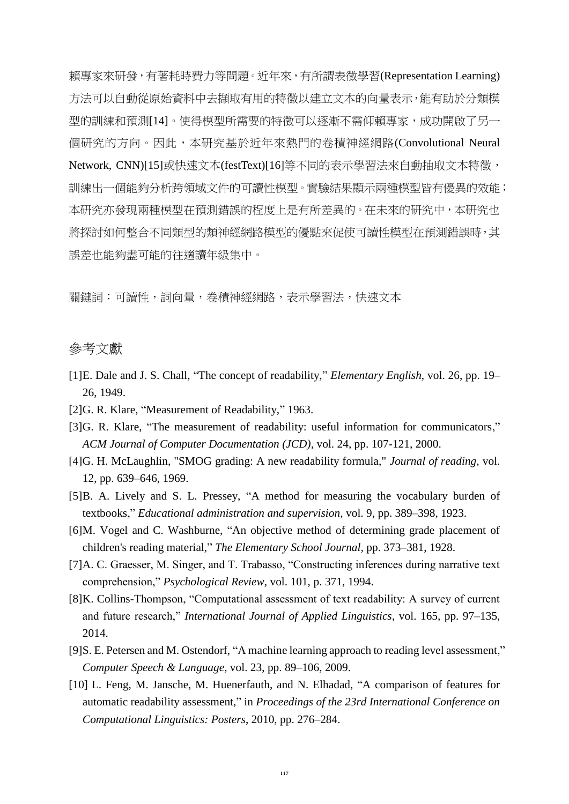賴專家來研發,有著耗時費力等問題。近年來,有所謂表徵學習(Representation Learning) 方法可以自動從原始資料中去擷取有用的特徵以建立文本的向量表示,能有助於分類模 型的訓練和預測[\[14\]](#page-2-3)。使得模型所需要的特徵可以逐漸不需仰賴專家,成功開啟了另一 個研究的方向。因此,本研究基於近年來熱門的卷積神經網路(Convolutional Neural Network, CNN[\)\[15\]](#page-2-4)或快速文本(festText[\)\[16\]](#page-2-5)等不同的表示學習法來自動抽取文本特徵, 訓練出一個能夠分析跨領域文件的可讀性模型。實驗結果顯示兩種模型皆有優異的效能; 本研究亦發現兩種模型在預測錯誤的程度上是有所差異的。在未來的研究中,本研究也 將探討如何整合不同類型的類神經網路模型的優點來促使可讀性模型在預測錯誤時,其 誤差也能夠盡可能的往適讀年級集中。

關鍵詞:可讀性,詞向量,卷積神經網路,表示學習法,快速文本

## 參考文獻

- <span id="page-1-0"></span>[1]E. Dale and J. S. Chall, "The concept of readability," *Elementary English,* vol. 26, pp. 19– 26, 1949.
- <span id="page-1-1"></span>[2]G. R. Klare, "Measurement of Readability," 1963.
- <span id="page-1-2"></span>[3]G. R. Klare, "The measurement of readability: useful information for communicators," *ACM Journal of Computer Documentation (JCD),* vol. 24, pp. 107-121, 2000.
- <span id="page-1-3"></span>[4]G. H. McLaughlin, "SMOG grading: A new readability formula," *Journal of reading,* vol. 12, pp. 639–646, 1969.
- <span id="page-1-4"></span>[5]B. A. Lively and S. L. Pressey, "A method for measuring the vocabulary burden of textbooks," *Educational administration and supervision,* vol. 9, pp. 389–398, 1923.
- <span id="page-1-5"></span>[6]M. Vogel and C. Washburne, "An objective method of determining grade placement of children's reading material," *The Elementary School Journal,* pp. 373–381, 1928.
- <span id="page-1-6"></span>[7]A. C. Graesser, M. Singer, and T. Trabasso, "Constructing inferences during narrative text comprehension," *Psychological Review,* vol. 101, p. 371, 1994.
- <span id="page-1-7"></span>[8]K. Collins-Thompson, "Computational assessment of text readability: A survey of current and future research," *International Journal of Applied Linguistics,* vol. 165, pp. 97–135, 2014.
- <span id="page-1-8"></span>[9]S. E. Petersen and M. Ostendorf, "A machine learning approach to reading level assessment," *Computer Speech & Language,* vol. 23, pp. 89–106, 2009.
- <span id="page-1-9"></span>[10] L. Feng, M. Jansche, M. Huenerfauth, and N. Elhadad, "A comparison of features for automatic readability assessment," in *Proceedings of the 23rd International Conference on Computational Linguistics: Posters*, 2010, pp. 276–284.